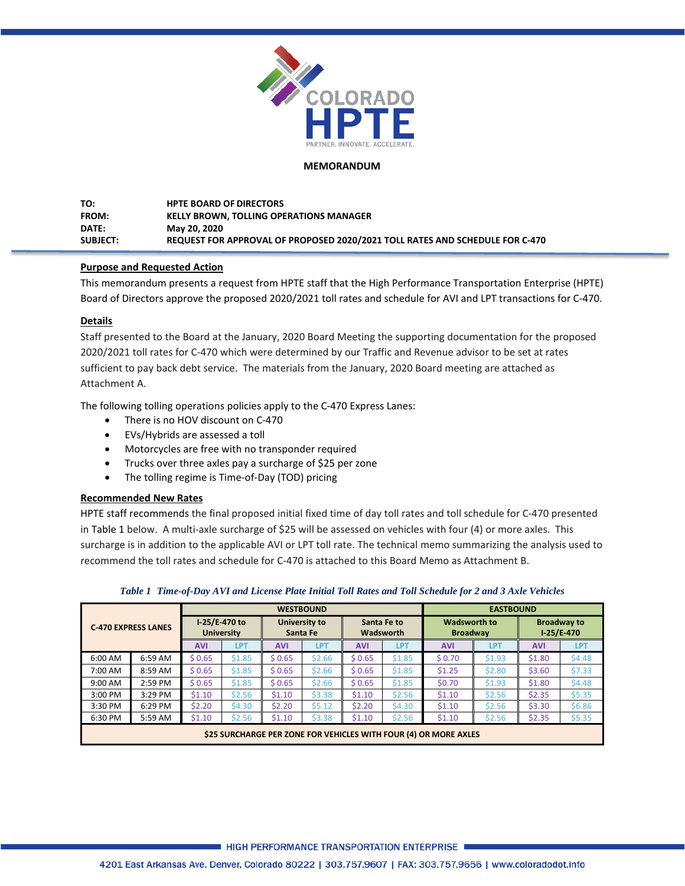

#### **MEMORANDUM**

**TO: HPTE BOARD OF DIRECTORS FROM: KELLY BROWN, TOLLING OPERATIONS MANAGER DATE: May 20, 2020 SUBJECT: REQUEST FOR APPROVAL OF PROPOSED 2020/2021 TOLL RATES AND SCHEDULE FOR C-470**

### **Purpose and Requested Action**

This memorandum presents a request from HPTE staff that the High Performance Transportation Enterprise (HPTE) Board of Directors approve the proposed 2020/2021 toll rates and schedule for AVI and LPT transactions for C-470.

#### **Details**

Staff presented to the Board at the January, 2020 Board Meeting the supporting documentation for the proposed 2020/2021 toll rates for C-470 which were determined by our Traffic and Revenue advisor to be set at rates sufficient to pay back debt service. The materials from the January, 2020 Board meeting are attached as Attachment A.

The following tolling operations policies apply to the C-470 Express Lanes:

- There is no HOV discount on C-470
- EVs/Hybrids are assessed a toll
- Motorcycles are free with no transponder required
- Trucks over three axles pay a surcharge of \$25 per zone
- The tolling regime is Time-of-Day (TOD) pricing

### **Recommended New Rates**

HPTE staff recommends the final proposed initial fixed time of day toll rates and toll schedule for C-470 presented in Table 1 below. A multi-axle surcharge of \$25 will be assessed on vehicles with four (4) or more axles. This surcharge is in addition to the applicable AVI or LPT toll rate. The technical memo summarizing the analysis used to recommend the toll rates and schedule for C-470 is attached to this Board Memo as Attachment B.

| <b>C-470 EXPRESS LANES</b> |         |            |                                      |            | <b>WESTBOUND</b>                                      | <b>EASTBOUND</b> |            |                                        |            |                                    |        |  |
|----------------------------|---------|------------|--------------------------------------|------------|-------------------------------------------------------|------------------|------------|----------------------------------------|------------|------------------------------------|--------|--|
|                            |         |            | $1-25/E-470$ to<br><b>University</b> |            | University to<br>Santa Fe to<br>Wadsworth<br>Santa Fe |                  |            | <b>Wadsworth to</b><br><b>Broadway</b> |            | <b>Broadway to</b><br>$1-25/E-470$ |        |  |
|                            |         | <b>AVI</b> | LPT                                  | <b>AVI</b> | LP1                                                   | <b>AVI</b>       | <b>LP1</b> | <b>AVI</b>                             | <b>LPT</b> | <b>AVI</b>                         | 1 P1   |  |
| 6:00 AM                    | 6:59 AM | \$0.65     | \$1.85                               | \$ 0.65    | \$2.66                                                | \$0.65           | \$1.85     | \$0.70                                 | \$1.93     | \$1.80                             | \$4.48 |  |
| 7:00 AM                    | 8:59 AM | \$ 0.65    | \$1.85                               | \$0.65     | \$2.66                                                | \$0.65           | \$1.85     | \$1.25                                 | \$2.80     | \$3.60                             | \$7.33 |  |

9:00 AM 2:59 PM \$ 0.65 \$1.85 \$ 0.65 \$2.66 \$ 0.65 \$1.85 \$0.70 \$1.93 \$1.80 \$4.48 3:**00 PM 3:29 PM \$1.10** \$2.56 \$1.10 \$3.38 \$1.10 \$2.56 \$1.10 \$2.56 \$2.35 \$5.35 3:**30 PM | 6:29 PM | \$2.20 | \$4.**30 | **\$2.20 | \$5.12 | \$2.20 | \$4.30 | \$1.10** | \$2.56 | \$3.30 | \$6.86

*Table 1 Time-of-Day AVI and License Plate Initial Toll Rates and Toll Schedule for 2 and 3 Axle Vehicles*

6:30 PM 5:59 AM \$1.10 \$2.56 \$1.10 \$3.38 \$1.10 \$2.56 \$1.10 \$2.56 \$2.35 \$5.35 **\$25 SURCHARGE PER ZONE FOR VEHICLES WITH FOUR (4) OR MORE AXLES**

HIGH PERFORMANCE TRANSPORTATION ENTERPRISE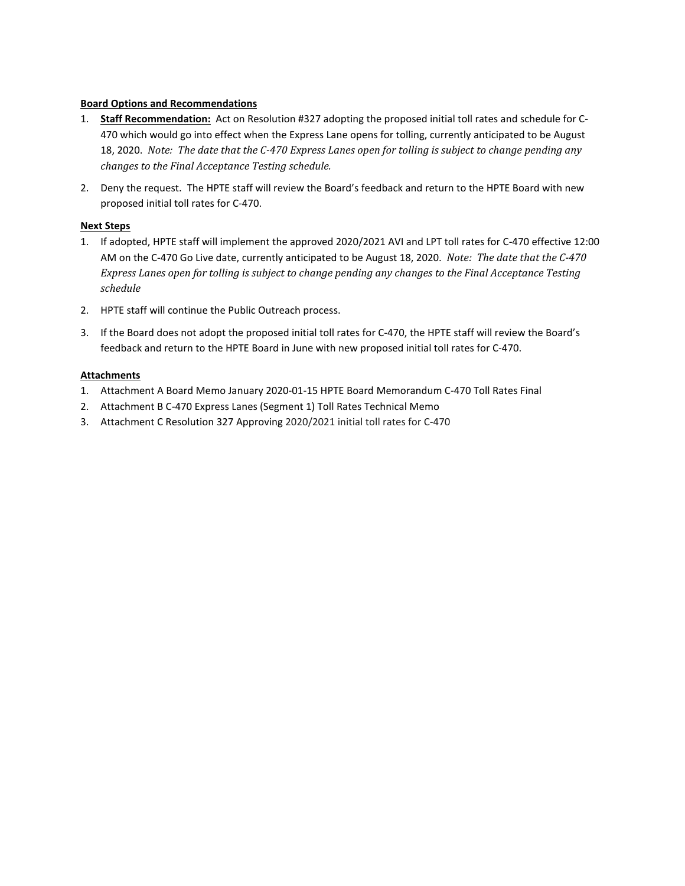### **Board Options and Recommendations**

- 1. **Staff Recommendation:** Act on Resolution #327 adopting the proposed initial toll rates and schedule for C-470 which would go into effect when the Express Lane opens for tolling, currently anticipated to be August 18, 2020. *Note: The date that the C-470 Express Lanes open for tolling is subject to change pending any changes to the Final Acceptance Testing schedule.*
- 2. Deny the request. The HPTE staff will review the Board's feedback and return to the HPTE Board with new proposed initial toll rates for C-470.

#### **Next Steps**

- 1. If adopted, HPTE staff will implement the approved 2020/2021 AVI and LPT toll rates for C-470 effective 12:00 AM on the C-470 Go Live date, currently anticipated to be August 18, 2020. *Note: The date that the C-470 Express Lanes open for tolling is subject to change pending any changes to the Final Acceptance Testing schedule*
- 2. HPTE staff will continue the Public Outreach process.
- 3. If the Board does not adopt the proposed initial toll rates for C-470, the HPTE staff will review the Board's feedback and return to the HPTE Board in June with new proposed initial toll rates for C-470.

#### **Attachments**

- 1. Attachment A Board Memo January 2020-01-15 HPTE Board Memorandum C-470 Toll Rates Final
- 2. Attachment B C-470 Express Lanes (Segment 1) Toll Rates Technical Memo
- 3. Attachment C Resolution 327 Approving 2020/2021 initial toll rates for C-470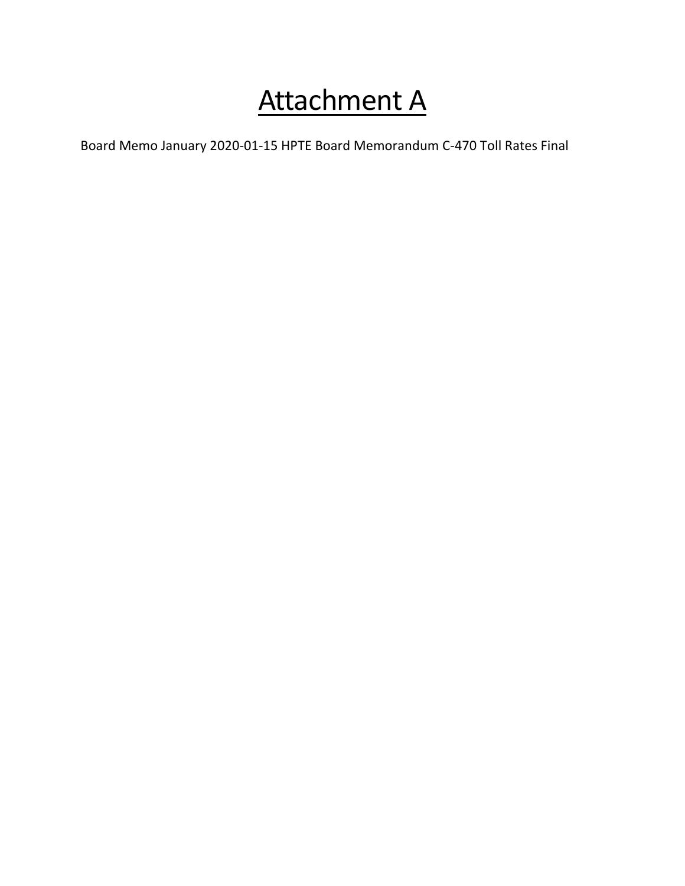# Attachment A

Board Memo January 2020-01-15 HPTE Board Memorandum C-470 Toll Rates Final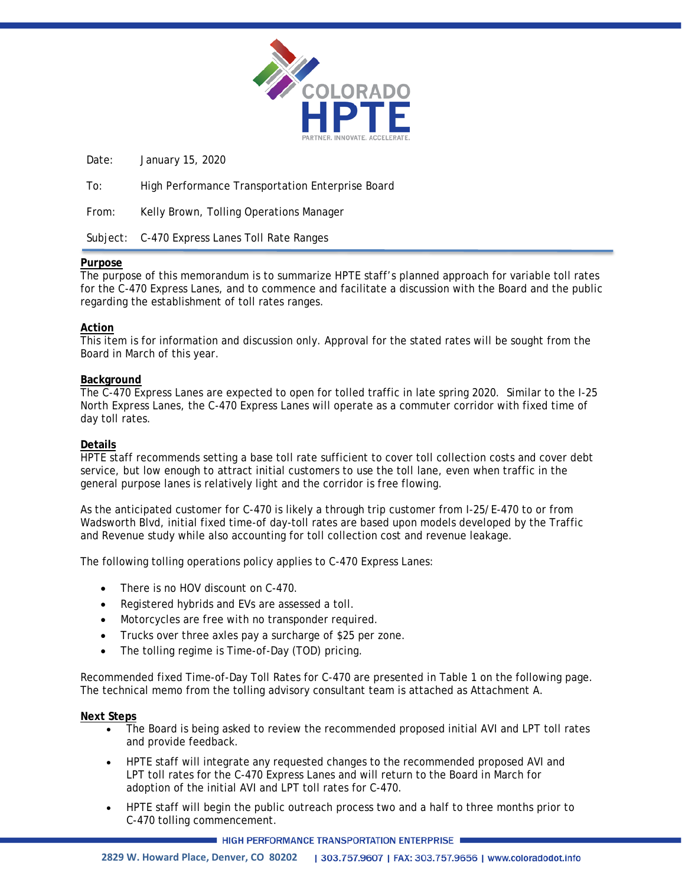

Date: January 15, 2020

To: High Performance Transportation Enterprise Board

From: Kelly Brown, Tolling Operations Manager

Subject: C-470 Express Lanes Toll Rate Ranges

### **Purpose**

The purpose of this memorandum is to summarize HPTE staff's planned approach for variable toll rates for the C-470 Express Lanes, and to commence and facilitate a discussion with the Board and the public regarding the establishment of toll rates ranges.

### **Action**

This item is for information and discussion only. Approval for the stated rates will be sought from the Board in March of this year.

### **Background**

The C-470 Express Lanes are expected to open for tolled traffic in late spring 2020. Similar to the I-25 North Express Lanes, the C-470 Express Lanes will operate as a commuter corridor with fixed time of day toll rates.

### **Details**

HPTE staff recommends setting a base toll rate sufficient to cover toll collection costs and cover debt service, but low enough to attract initial customers to use the toll lane, even when traffic in the general purpose lanes is relatively light and the corridor is free flowing.

As the anticipated customer for C-470 is likely a through trip customer from I-25/E-470 to or from Wadsworth Blvd, initial fixed time-of day-toll rates are based upon models developed by the Traffic and Revenue study while also accounting for toll collection cost and revenue leakage.

The following tolling operations policy applies to C-470 Express Lanes:

- There is no HOV discount on C-470.
- Registered hybrids and EVs are assessed a toll.
- Motorcycles are free with no transponder required.
- Trucks over three axles pay a surcharge of \$25 per zone.
- The tolling regime is Time-of-Day (TOD) pricing.

Recommended fixed Time-of-Day Toll Rates for C-470 are presented in Table 1 on the following page. The technical memo from the tolling advisory consultant team is attached as Attachment A.

### **Next Steps**

- The Board is being asked to review the recommended proposed initial AVI and LPT toll rates and provide feedback.
- HPTE staff will integrate any requested changes to the recommended proposed AVI and LPT toll rates for the C-470 Express Lanes and will return to the Board in March for adoption of the initial AVI and LPT toll rates for C-470.
- HPTE staff will begin the public outreach process two and a half to three months prior to C-470 tolling commencement.

HIGH PERFORMANCE TRANSPORTATION ENTERPRISE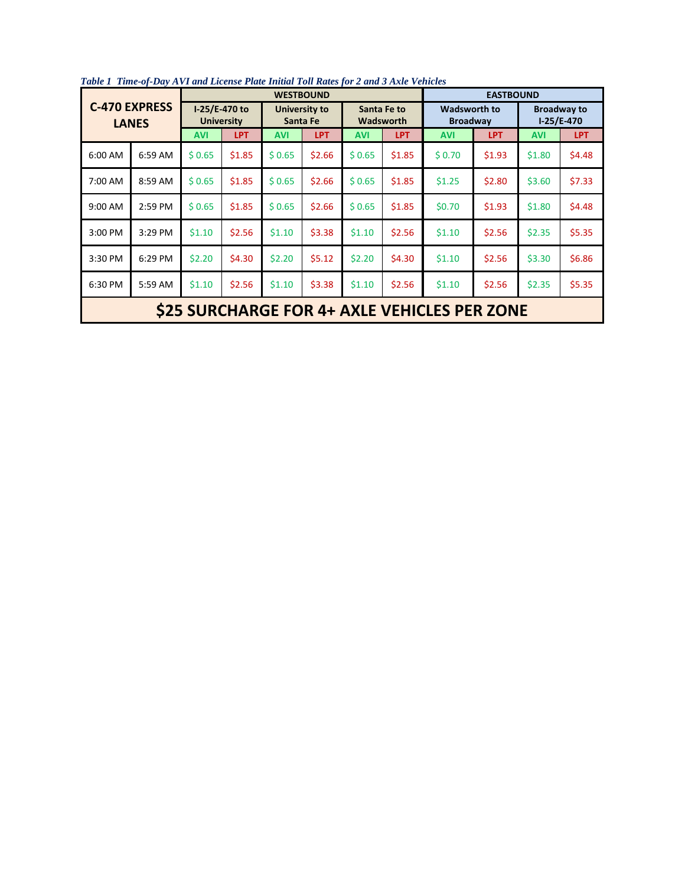| <b>C-470 EXPRESS</b><br><b>LANES</b>         |         |                    |                                    |            | <b>WESTBOUND</b>          | <b>EASTBOUND</b> |                                 |                                        |            |                                    |            |  |  |
|----------------------------------------------|---------|--------------------|------------------------------------|------------|---------------------------|------------------|---------------------------------|----------------------------------------|------------|------------------------------------|------------|--|--|
|                                              |         |                    | I-25/E-470 to<br><b>University</b> |            | University to<br>Santa Fe |                  | Santa Fe to<br><b>Wadsworth</b> | <b>Wadsworth to</b><br><b>Broadway</b> |            | <b>Broadway to</b><br>$1-25/E-470$ |            |  |  |
|                                              |         | LPT.<br><b>AVI</b> |                                    | <b>AVI</b> | <b>LPT</b>                | <b>AVI</b>       | <b>LPT</b>                      | <b>AVI</b>                             | <b>LPT</b> | <b>AVI</b>                         | <b>LPT</b> |  |  |
| 6:00 AM                                      | 6:59 AM | \$0.65             | \$1.85                             | \$0.65     | \$2.66                    | \$0.65           | \$1.85                          | \$0.70                                 | \$1.93     | \$1.80                             | \$4.48     |  |  |
| 7:00 AM                                      | 8:59 AM | \$0.65             | \$1.85                             | \$0.65     | \$2.66                    | \$0.65           | \$1.85                          | \$1.25                                 | \$2.80     | \$3.60                             | \$7.33     |  |  |
| 9:00 AM                                      | 2:59 PM | \$0.65<br>\$1.85   |                                    | \$0.65     | \$2.66                    | \$0.65           | \$1.85                          | \$0.70                                 | \$1.93     | \$1.80                             | \$4.48     |  |  |
| 3:00 PM                                      | 3:29 PM | \$1.10             | \$2.56                             | \$1.10     | \$3.38                    | \$1.10           | \$2.56                          | \$1.10                                 | \$2.56     | \$2.35                             | \$5.35     |  |  |
| 3:30 PM                                      | 6:29 PM | \$2.20             | \$4.30                             | \$2.20     | \$5.12                    | \$2.20<br>\$4.30 |                                 | \$1.10<br>\$2.56                       |            | \$3.30                             | \$6.86     |  |  |
| 6:30 PM<br>5:59 AM                           |         | \$1.10             | \$2.56                             | \$1.10     | \$3.38                    | \$1.10           | \$2.56                          | \$1.10                                 | \$2.56     | \$2.35                             | \$5.35     |  |  |
| \$25 SURCHARGE FOR 4+ AXLE VEHICLES PER ZONE |         |                    |                                    |            |                           |                  |                                 |                                        |            |                                    |            |  |  |

*Table 1 Time-of-Day AVI and License Plate Initial Toll Rates for 2 and 3 Axle Vehicles*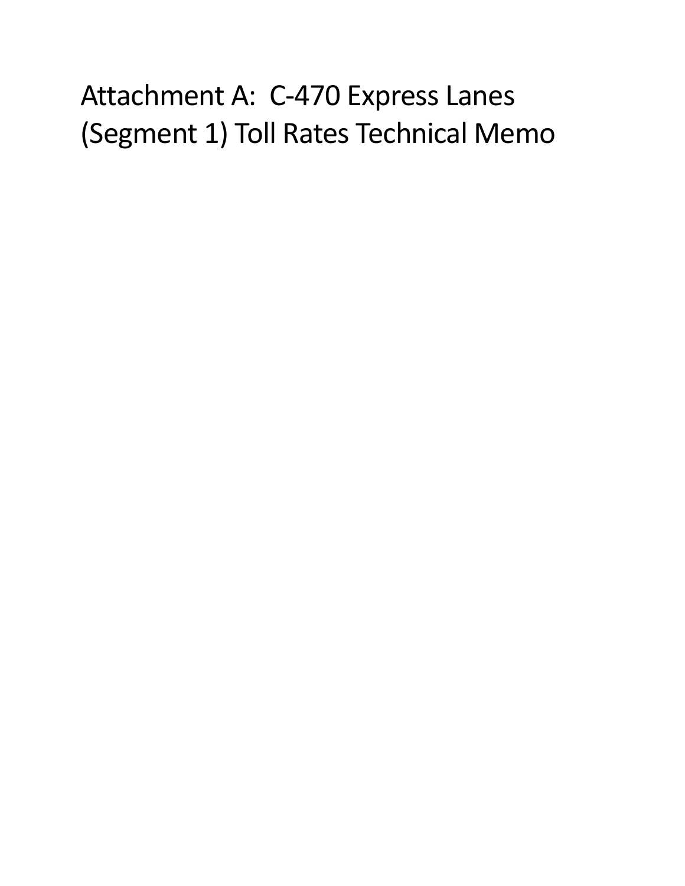# Attachment A: C-470 Express Lanes (Segment 1) Toll Rates Technical Memo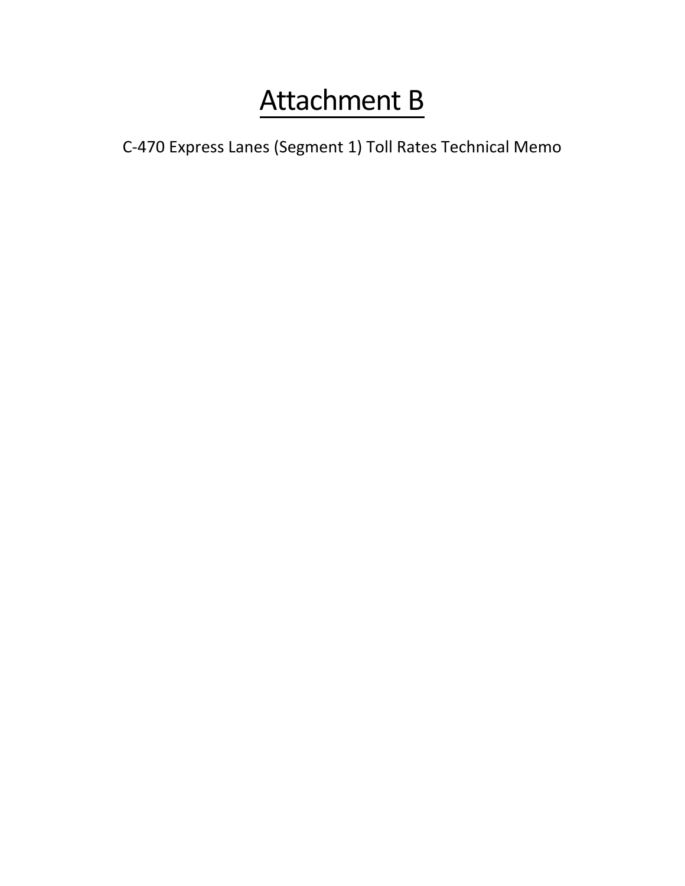## Attachment B

C-470 Express Lanes (Segment 1) Toll Rates Technical Memo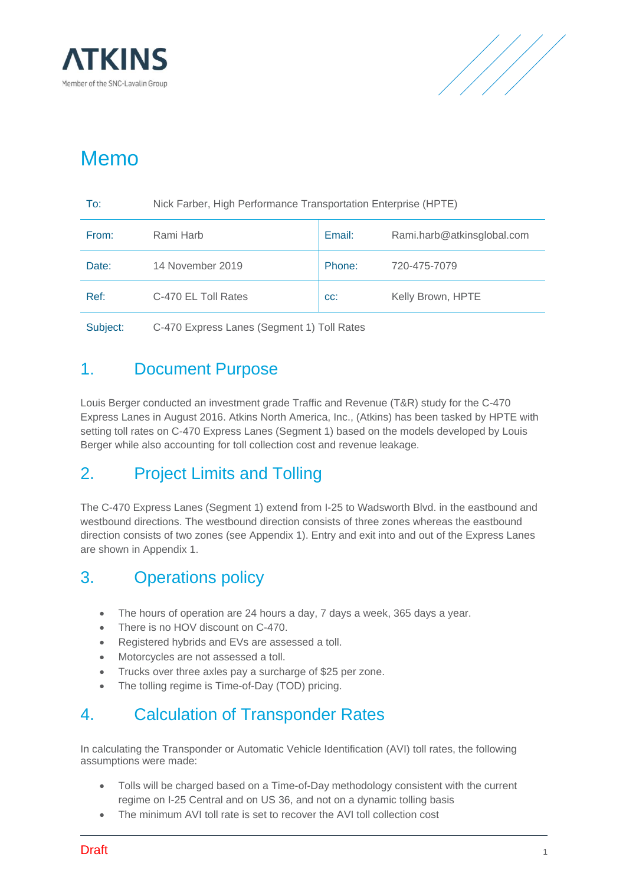



## Memo

| To:                                                    | Nick Farber, High Performance Transportation Enterprise (HPTE) |        |                            |  |  |  |  |  |  |
|--------------------------------------------------------|----------------------------------------------------------------|--------|----------------------------|--|--|--|--|--|--|
| From:                                                  | Rami Harb                                                      | Email: | Rami.harb@atkinsglobal.com |  |  |  |  |  |  |
| Date:                                                  | 14 November 2019                                               | Phone: | 720-475-7079               |  |  |  |  |  |  |
| Ref:                                                   | C-470 EL Toll Rates                                            | CC:    | Kelly Brown, HPTE          |  |  |  |  |  |  |
| Subject:<br>C-470 Express Lanes (Segment 1) Toll Rates |                                                                |        |                            |  |  |  |  |  |  |

### 1. Document Purpose

Louis Berger conducted an investment grade Traffic and Revenue (T&R) study for the C-470 Express Lanes in August 2016. Atkins North America, Inc., (Atkins) has been tasked by HPTE with setting toll rates on C-470 Express Lanes (Segment 1) based on the models developed by Louis Berger while also accounting for toll collection cost and revenue leakage.

### 2. Project Limits and Tolling

The C-470 Express Lanes (Segment 1) extend from I-25 to Wadsworth Blvd. in the eastbound and westbound directions. The westbound direction consists of three zones whereas the eastbound direction consists of two zones (see Appendix 1). Entry and exit into and out of the Express Lanes are shown in Appendix 1.

## 3. Operations policy

- The hours of operation are 24 hours a day, 7 days a week, 365 days a year.
- There is no HOV discount on C-470.
- Registered hybrids and EVs are assessed a toll.
- Motorcycles are not assessed a toll.
- Trucks over three axles pay a surcharge of \$25 per zone.
- The tolling regime is Time-of-Day (TOD) pricing.

## 4. Calculation of Transponder Rates

In calculating the Transponder or Automatic Vehicle Identification (AVI) toll rates, the following assumptions were made:

- Tolls will be charged based on a Time-of-Day methodology consistent with the current regime on I-25 Central and on US 36, and not on a dynamic tolling basis
- The minimum AVI toll rate is set to recover the AVI toll collection cost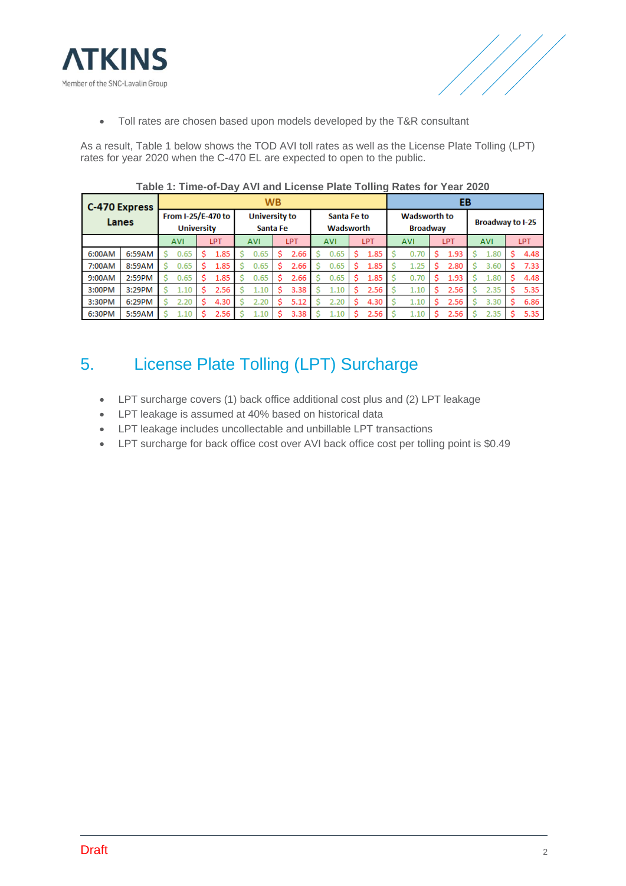



• Toll rates are chosen based upon models developed by the T&R consultant

As a result, Table 1 below shows the TOD AVI toll rates as well as the License Plate Tolling (LPT) rates for year 2020 when the C-470 EL are expected to open to the public.

| <b>C-470 Express</b><br>Lanes |        |                                         | <b>WB</b>  |            |      |  |                                  |   |      |                          |      |   |                                        |     |      | EB |                         |  |      |  |      |  |  |  |
|-------------------------------|--------|-----------------------------------------|------------|------------|------|--|----------------------------------|---|------|--------------------------|------|---|----------------------------------------|-----|------|----|-------------------------|--|------|--|------|--|--|--|
|                               |        | From I-25/E-470 to<br><b>University</b> |            |            |      |  | <b>University to</b><br>Santa Fe |   |      | Santa Fe to<br>Wadsworth |      |   | <b>Wadsworth to</b><br><b>Broadway</b> |     |      |    | <b>Broadway to I-25</b> |  |      |  |      |  |  |  |
|                               |        |                                         | <b>AVI</b> | <b>LPT</b> |      |  | <b>AVI</b><br>LPT                |   |      | LPT<br><b>AVI</b>        |      |   | <b>AVI</b>                             | LPT |      |    | <b>AVI</b><br>LPT       |  |      |  |      |  |  |  |
| 6:00AM                        | 6:59AM |                                         | 0.65       |            | 1.85 |  | 0.65                             | s | 2.66 |                          | 0.65 | s | 1.85                                   |     | 0.70 | s  | 1.93                    |  | 1.80 |  | 4.48 |  |  |  |
| 7:00AM                        | 8:59AM |                                         | 0.65       |            | 1.85 |  | 0.65                             | s | 2.66 |                          | 0.65 | s | 1.85                                   |     | 1.25 | Ś  | 2.80                    |  | 3.60 |  | 7.33 |  |  |  |
| 9:00AM                        | 2:59PM |                                         | 0.65       |            | 1.85 |  | 0.65                             |   | 2.66 |                          | 0.65 | s | 1.85                                   |     | 0.70 | Ś  | 1.93                    |  | 1.80 |  | 4.48 |  |  |  |
| 3:00PM                        | 3:29PM |                                         | 1.10       |            | 2.56 |  | 1.10                             |   | 3.38 |                          | 1.10 | s | 2.56                                   |     | 1.10 | s  | 2.56                    |  | 2.35 |  | 5.35 |  |  |  |
| 3:30PM                        | 6:29PM |                                         | 2.20       |            | 4.30 |  | 2.20                             |   | 5.12 |                          | 2.20 | s | 4.30                                   |     | 1.10 | s  | 2.56                    |  | 3.30 |  | 6.86 |  |  |  |
| 6:30PM                        | 5:59AM |                                         | 1.10       |            | 2.56 |  | 1.10                             |   | 3.38 |                          | 1.10 |   | 2.56                                   |     | 1.10 | s  | 2.56                    |  | 2.35 |  | 5.35 |  |  |  |

**Table 1: Time-of-Day AVI and License Plate Tolling Rates for Year 2020**

## 5. License Plate Tolling (LPT) Surcharge

- LPT surcharge covers (1) back office additional cost plus and (2) LPT leakage
- LPT leakage is assumed at 40% based on historical data
- LPT leakage includes uncollectable and unbillable LPT transactions
- LPT surcharge for back office cost over AVI back office cost per tolling point is \$0.49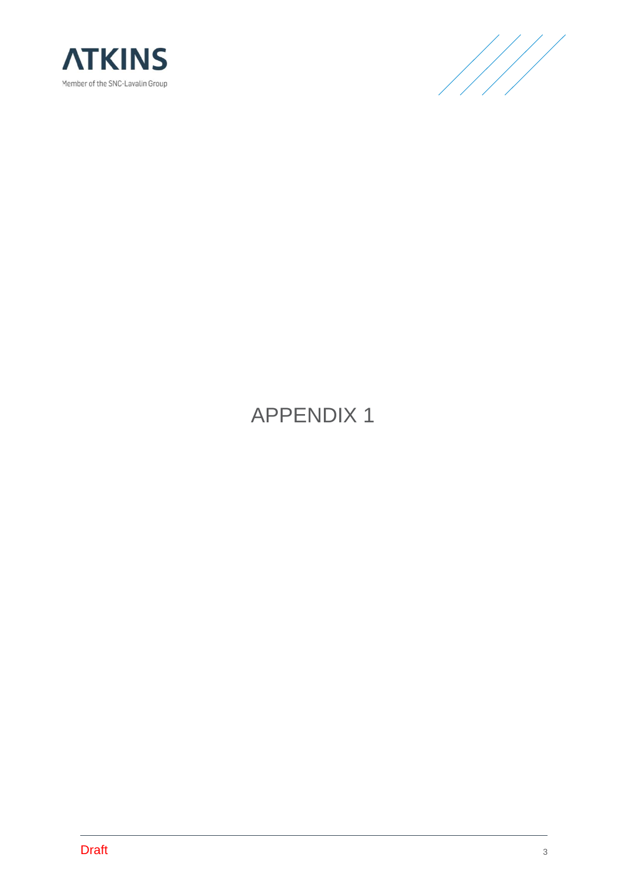



## APPENDIX 1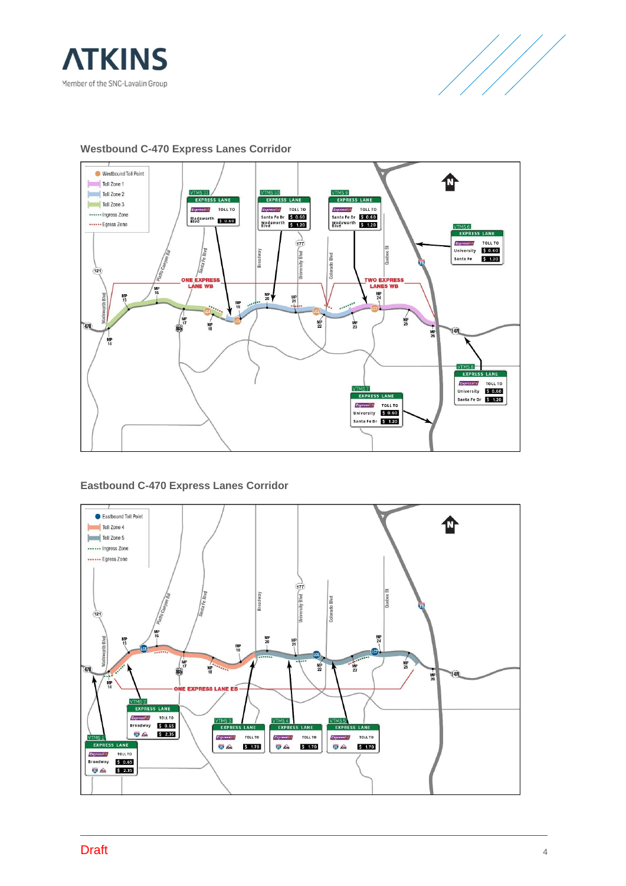





**Westbound C-470 Express Lanes Corridor**

### **Eastbound C-470 Express Lanes Corridor**